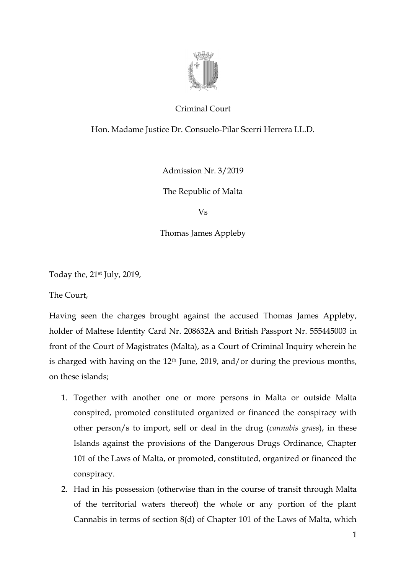

## Criminal Court

Hon. Madame Justice Dr. Consuelo-Pilar Scerri Herrera LL.D.

Admission Nr. 3/2019

The Republic of Malta

Vs

Thomas James Appleby

Today the, 21st July, 2019,

The Court,

Having seen the charges brought against the accused Thomas James Appleby, holder of Maltese Identity Card Nr. 208632A and British Passport Nr. 555445003 in front of the Court of Magistrates (Malta), as a Court of Criminal Inquiry wherein he is charged with having on the 12th June, 2019, and/or during the previous months, on these islands;

- 1. Together with another one or more persons in Malta or outside Malta conspired, promoted constituted organized or financed the conspiracy with other person/s to import, sell or deal in the drug (*cannabis grass*), in these Islands against the provisions of the Dangerous Drugs Ordinance, Chapter 101 of the Laws of Malta, or promoted, constituted, organized or financed the conspiracy.
- 2. Had in his possession (otherwise than in the course of transit through Malta of the territorial waters thereof) the whole or any portion of the plant Cannabis in terms of section 8(d) of Chapter 101 of the Laws of Malta, which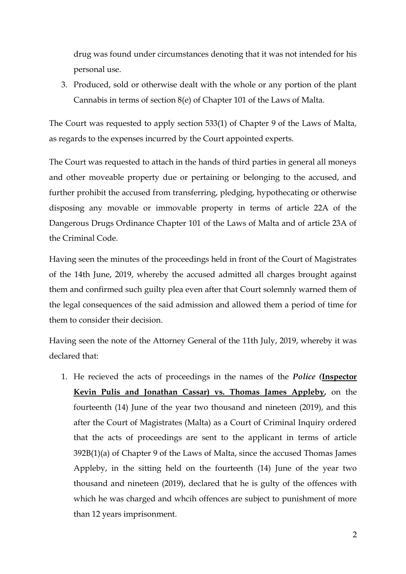drug was found under circumstances denoting that it was not intended for his personal use.

3. Produced, sold or otherwise dealt with the whole or any portion of the plant Cannabis in terms of section 8(e) of Chapter 101 of the Laws of Malta.

The Court was requested to apply section 533(1) of Chapter 9 of the Laws of Malta, as regards to the expenses incurred by the Court appointed experts.

The Court was requested to attach in the hands of third parties in general all moneys and other moveable property due or pertaining or belonging to the accused, and further prohibit the accused from transferring, pledging, hypothecating or otherwise disposing any movable or immovable property in terms of article 22A of the Dangerous Drugs Ordinance Chapter 101 of the Laws of Malta and of article 23A of the Criminal Code.

Having seen the minutes of the proceedings held in front of the Court of Magistrates of the 14th June, 2019, whereby the accused admitted all charges brought against them and confirmed such guilty plea even after that Court solemnly warned them of the legal consequences of the said admission and allowed them a period of time for them to consider their decision.

Having seen the note of the Attorney General of the 11th July, 2019, whereby it was declared that:

1. He recieved the acts of proceedings in the names of the *Police (***Inspector Kevin Pulis and Jonathan Cassar) vs. Thomas James Appleby***,* on the fourteenth (14) June of the year two thousand and nineteen (2019), and this after the Court of Magistrates (Malta) as a Court of Criminal Inquiry ordered that the acts of proceedings are sent to the applicant in terms of article 392B(1)(a) of Chapter 9 of the Laws of Malta, since the accused Thomas James Appleby, in the sitting held on the fourteenth (14) June of the year two thousand and nineteen (2019), declared that he is gulty of the offences with which he was charged and whcih offences are subject to punishment of more than 12 years imprisonment.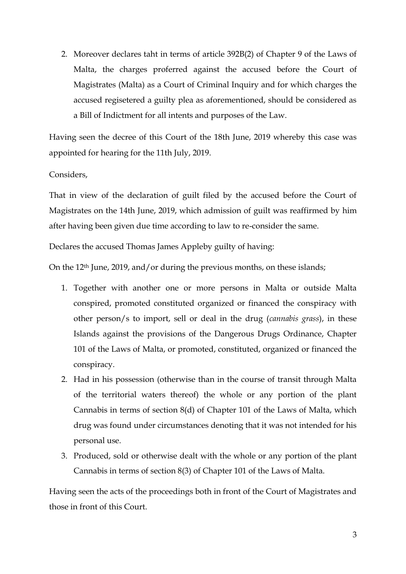2. Moreover declares taht in terms of article 392B(2) of Chapter 9 of the Laws of Malta, the charges proferred against the accused before the Court of Magistrates (Malta) as a Court of Criminal Inquiry and for which charges the accused regisetered a guilty plea as aforementioned, should be considered as a Bill of Indictment for all intents and purposes of the Law.

Having seen the decree of this Court of the 18th June, 2019 whereby this case was appointed for hearing for the 11th July, 2019.

Considers,

That in view of the declaration of guilt filed by the accused before the Court of Magistrates on the 14th June, 2019, which admission of guilt was reaffirmed by him after having been given due time according to law to re-consider the same.

Declares the accused Thomas James Appleby guilty of having:

On the 12th June, 2019, and/or during the previous months, on these islands;

- 1. Together with another one or more persons in Malta or outside Malta conspired, promoted constituted organized or financed the conspiracy with other person/s to import, sell or deal in the drug (*cannabis grass*), in these Islands against the provisions of the Dangerous Drugs Ordinance, Chapter 101 of the Laws of Malta, or promoted, constituted, organized or financed the conspiracy.
- 2. Had in his possession (otherwise than in the course of transit through Malta of the territorial waters thereof) the whole or any portion of the plant Cannabis in terms of section 8(d) of Chapter 101 of the Laws of Malta, which drug was found under circumstances denoting that it was not intended for his personal use.
- 3. Produced, sold or otherwise dealt with the whole or any portion of the plant Cannabis in terms of section 8(3) of Chapter 101 of the Laws of Malta.

Having seen the acts of the proceedings both in front of the Court of Magistrates and those in front of this Court.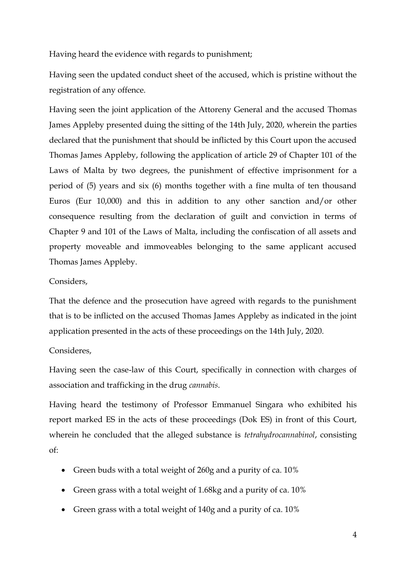Having heard the evidence with regards to punishment;

Having seen the updated conduct sheet of the accused, which is pristine without the registration of any offence.

Having seen the joint application of the Attoreny General and the accused Thomas James Appleby presented duing the sitting of the 14th July, 2020, wherein the parties declared that the punishment that should be inflicted by this Court upon the accused Thomas James Appleby, following the application of article 29 of Chapter 101 of the Laws of Malta by two degrees, the punishment of effective imprisonment for a period of (5) years and six (6) months together with a fine multa of ten thousand Euros (Eur 10,000) and this in addition to any other sanction and/or other consequence resulting from the declaration of guilt and conviction in terms of Chapter 9 and 101 of the Laws of Malta, including the confiscation of all assets and property moveable and immoveables belonging to the same applicant accused Thomas James Appleby.

## Considers,

That the defence and the prosecution have agreed with regards to the punishment that is to be inflicted on the accused Thomas James Appleby as indicated in the joint application presented in the acts of these proceedings on the 14th July, 2020.

## Consideres,

Having seen the case-law of this Court, specifically in connection with charges of association and trafficking in the drug *cannabis*.

Having heard the testimony of Professor Emmanuel Singara who exhibited his report marked ES in the acts of these proceedings (Dok ES) in front of this Court, wherein he concluded that the alleged substance is *tetrahydrocannabinol*, consisting of:

- Green buds with a total weight of 260g and a purity of ca. 10%
- Green grass with a total weight of 1.68kg and a purity of ca. 10%
- Green grass with a total weight of 140g and a purity of ca. 10%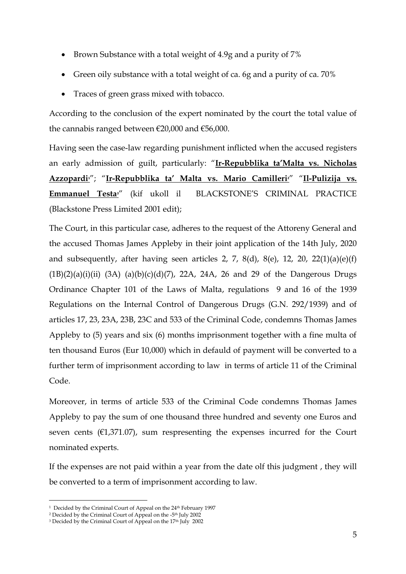- Brown Substance with a total weight of 4.9g and a purity of 7%
- Green oily substance with a total weight of ca. 6g and a purity of ca. 70%
- Traces of green grass mixed with tobacco.

According to the conclusion of the expert nominated by the court the total value of the cannabis ranged between €20,000 and €56,000.

Having seen the case-law regarding punishment inflicted when the accused registers an early admission of guilt, particularly: "**Ir-Repubblika ta'Malta vs. Nicholas Azzopardi1**"; "**Ir-Repubblika ta' Malta vs. Mario Camilleri2**" "**Il-Pulizija vs. Emmanuel Testa3**" (kif ukoll il BLACKSTONE'S CRIMINAL PRACTICE (Blackstone Press Limited 2001 edit);

The Court, in this particular case, adheres to the request of the Attoreny General and the accused Thomas James Appleby in their joint application of the 14th July, 2020 and subsequently, after having seen articles 2, 7, 8(d), 8(e), 12, 20, 22(1)(a)(e)(f)  $(1B)(2)(a)(i)(ii)$   $(3A)$   $(a)(b)(c)(d)(7)$ ,  $22A$ ,  $24A$ ,  $26$  and  $29$  of the Dangerous Drugs Ordinance Chapter 101 of the Laws of Malta, regulations 9 and 16 of the 1939 Regulations on the Internal Control of Dangerous Drugs (G.N. 292/1939) and of articles 17, 23, 23A, 23B, 23C and 533 of the Criminal Code, condemns Thomas James Appleby to (5) years and six (6) months imprisonment together with a fine multa of ten thousand Euros (Eur 10,000) which in defauld of payment will be converted to a further term of imprisonment according to law in terms of article 11 of the Criminal Code.

Moreover, in terms of article 533 of the Criminal Code condemns Thomas James Appleby to pay the sum of one thousand three hundred and seventy one Euros and seven cents  $(€1,371.07)$ , sum respresenting the expenses incurred for the Court nominated experts.

If the expenses are not paid within a year from the date olf this judgment , they will be converted to a term of imprisonment according to law.

<sup>-</sup><sup>1</sup> Decided by the Criminal Court of Appeal on the 24<sup>th</sup> February 1997

<sup>&</sup>lt;sup>2</sup> Decided by the Criminal Court of Appeal on the -5<sup>th</sup> July 2002

<sup>&</sup>lt;sup>3</sup> Decided by the Criminal Court of Appeal on the 17<sup>th</sup> July 2002